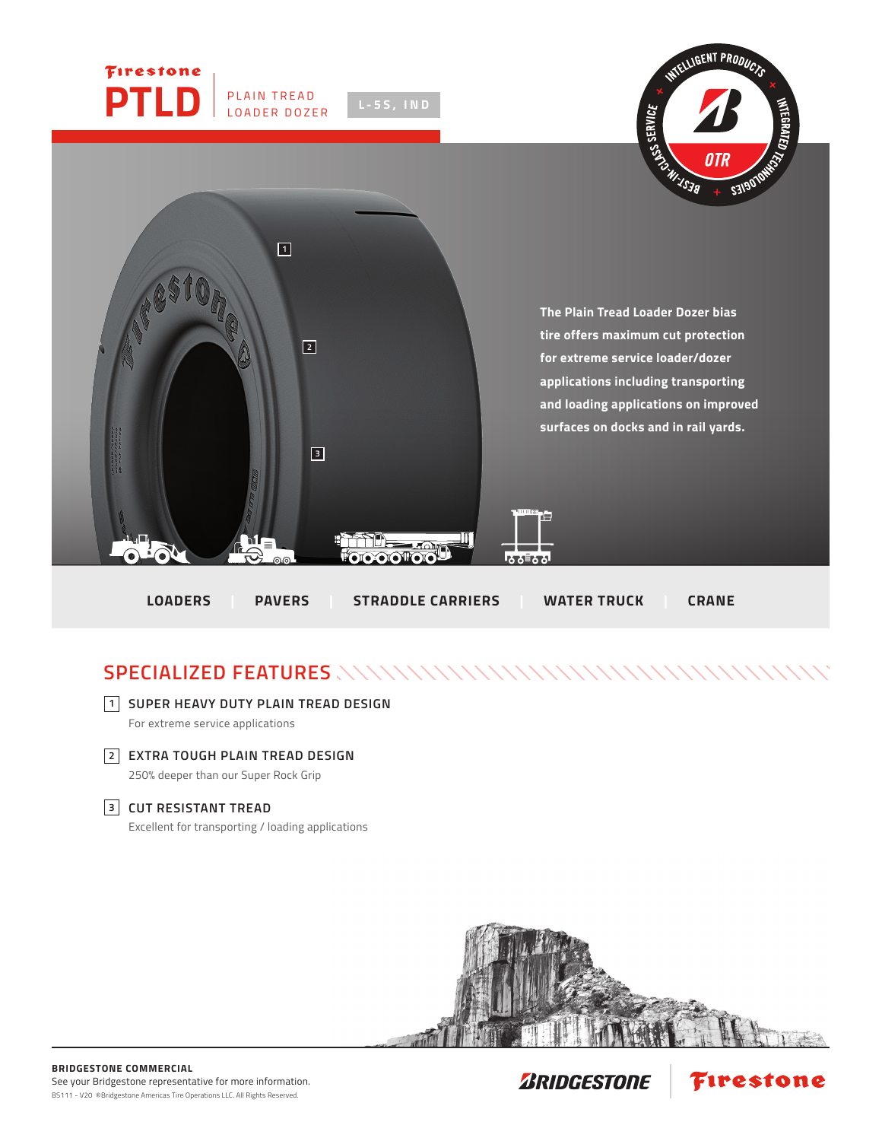

## **SPECIALIZED FEATURES**

## **SUPER HEAVY DUTY PLAIN TREAD DESIGN 1**

For extreme service applications

**EXTRA TOUGH PLAIN TREAD DESIGN 2** 250% deeper than our Super Rock Grip

## **CUT RESISTANT TREAD 3**

Excellent for transporting / loading applications



Firestone

**ZRIDGESTONE**